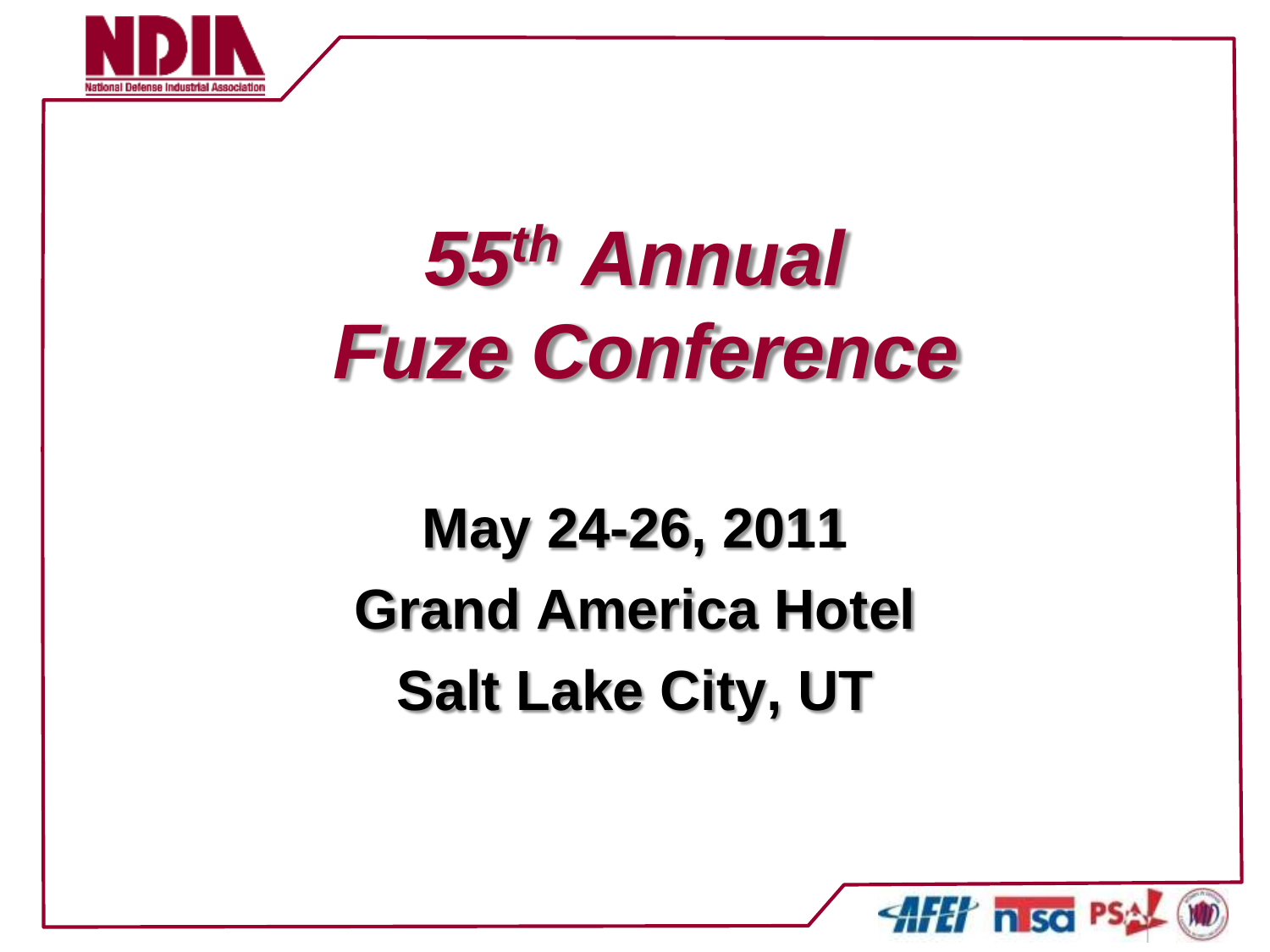

# *55th Annual Fuze Conference*

# **May 24-26, 2011 Grand America Hotel Salt Lake City, UT**

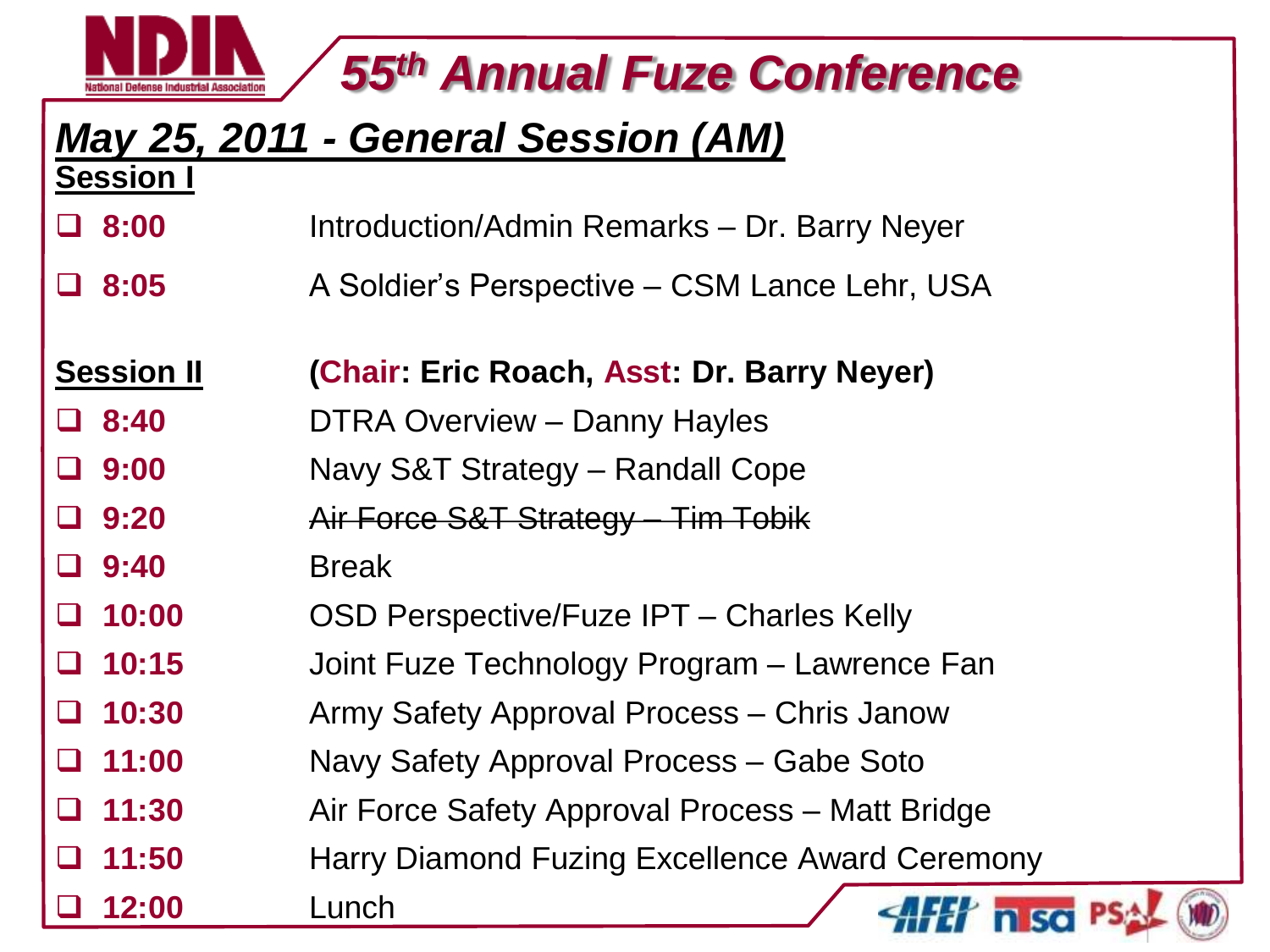

### *55th Annual Fuze Conference*

#### **Session I** *May 25, 2011 - General Session (AM)*

| $\Box$ 8:00 | Introduction/Admin Remarks - Dr. Barry Neyer |  |
|-------------|----------------------------------------------|--|
|             |                                              |  |

- **8:05** A Soldier's Perspective CSM Lance Lehr, USA
- **Session II (Chair: Eric Roach, Asst: Dr. Barry Neyer)**
- **8:40** DTRA Overview Danny Hayles
- **9:00** Navy S&T Strategy Randall Cope
- **9:20** Air Force S&T Strategy Tim Tobik
- **9:40** Break
- **10:00** OSD Perspective/Fuze IPT Charles Kelly
- **10:15** Joint Fuze Technology Program Lawrence Fan
- **10:30** Army Safety Approval Process Chris Janow
- **11:00** Navy Safety Approval Process Gabe Soto
- **11:30** Air Force Safety Approval Process Matt Bridge
- **11:50** Harry Diamond Fuzing Excellence Award Ceremony

**12:00** Lunch

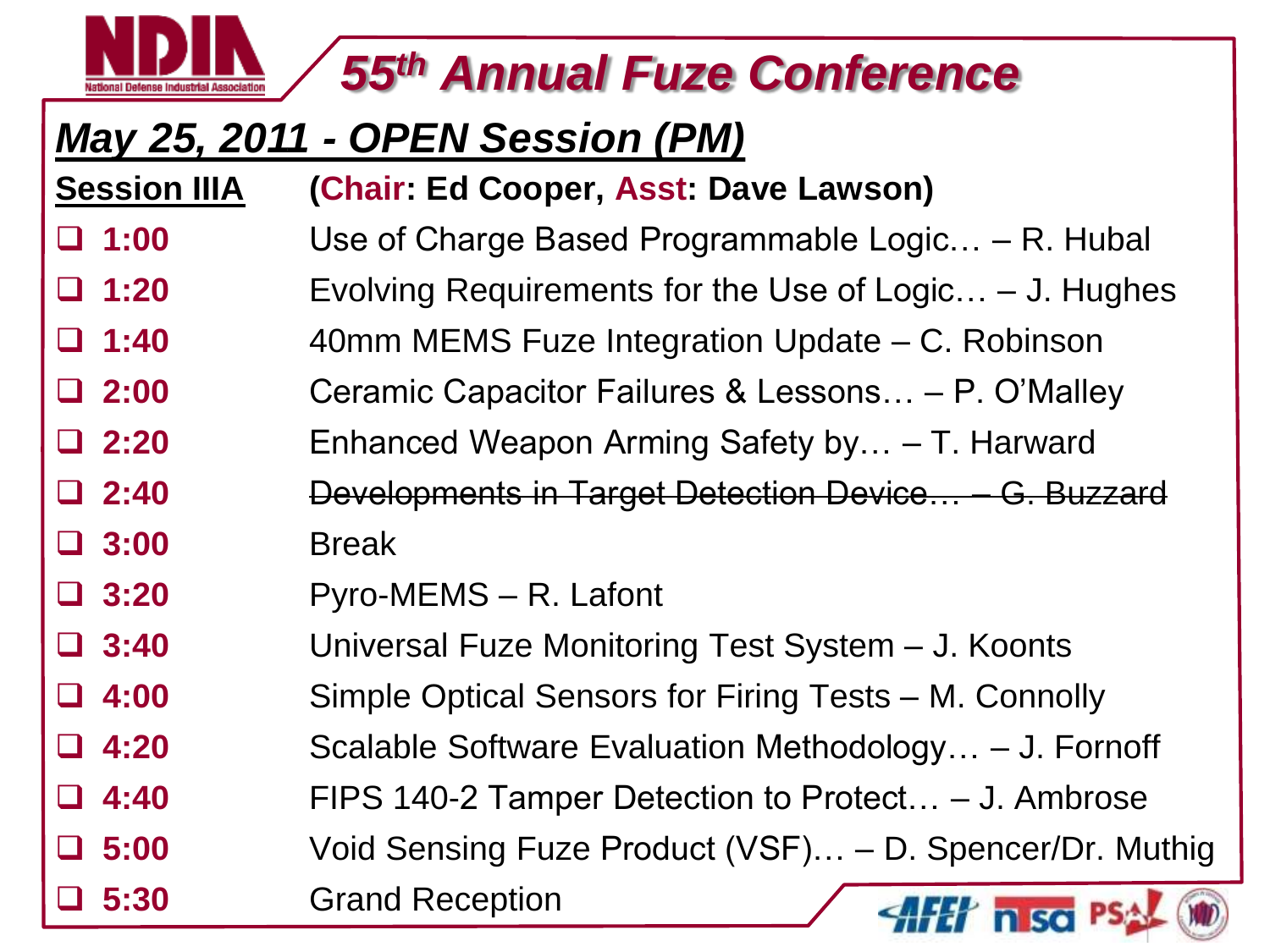## *55th Annual Fuze Conference*

#### *May 25, 2011 - OPEN Session (PM)*

**Session IIIA (Chair: Ed Cooper, Asst: Dave Lawson)**

- **1:00** Use of Charge Based Programmable Logic… R. Hubal
- **1:20** Evolving Requirements for the Use of Logic… J. Hughes
- **1:40** 40mm MEMS Fuze Integration Update C. Robinson
- **2:00** Ceramic Capacitor Failures & Lessons… P. O'Malley
- **2:20** Enhanced Weapon Arming Safety by… T. Harward
- **2:40** Developments in Target Detection Device… G. Buzzard **3:00** Break
- **3:20** Pyro-MEMS R. Lafont
- **3:40** Universal Fuze Monitoring Test System J. Koonts
- **4:00** Simple Optical Sensors for Firing Tests M. Connolly
- **4:20** Scalable Software Evaluation Methodology… J. Fornoff
- **4:40** FIPS 140-2 Tamper Detection to Protect… J. Ambrose
- **5:00** Void Sensing Fuze Product (VSF)… D. Spencer/Dr. Muthig
- **5:30** Grand Reception